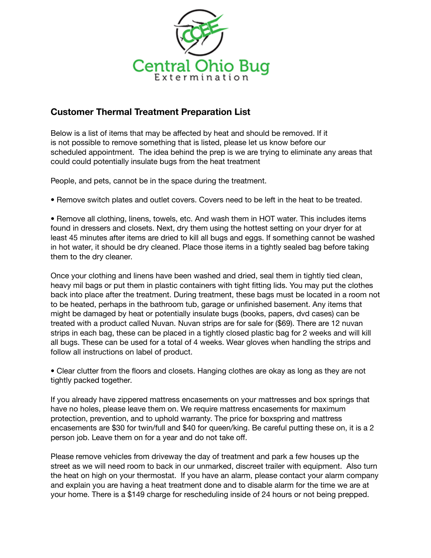

## **Customer Thermal Treatment Preparation List**

Below is a list of items that may be affected by heat and should be removed. If it is not possible to remove something that is listed, please let us know before our scheduled appointment. The idea behind the prep is we are trying to eliminate any areas that could could potentially insulate bugs from the heat treatment

People, and pets, cannot be in the space during the treatment.

• Remove switch plates and outlet covers. Covers need to be left in the heat to be treated.

• Remove all clothing, linens, towels, etc. And wash them in HOT water. This includes items found in dressers and closets. Next, dry them using the hottest setting on your dryer for at least 45 minutes after items are dried to kill all bugs and eggs. If something cannot be washed in hot water, it should be dry cleaned. Place those items in a tightly sealed bag before taking them to the dry cleaner.

Once your clothing and linens have been washed and dried, seal them in tightly tied clean, heavy mil bags or put them in plastic containers with tight fitting lids. You may put the clothes back into place after the treatment. During treatment, these bags must be located in a room not to be heated, perhaps in the bathroom tub, garage or unfinished basement. Any items that might be damaged by heat or potentially insulate bugs (books, papers, dvd cases) can be treated with a product called Nuvan. Nuvan strips are for sale for (\$69). There are 12 nuvan strips in each bag, these can be placed in a tightly closed plastic bag for 2 weeks and will kill all bugs. These can be used for a total of 4 weeks. Wear gloves when handling the strips and follow all instructions on label of product.

• Clear clutter from the floors and closets. Hanging clothes are okay as long as they are not tightly packed together.

If you already have zippered mattress encasements on your mattresses and box springs that have no holes, please leave them on. We require mattress encasements for maximum protection, prevention, and to uphold warranty. The price for boxspring and mattress encasements are \$30 for twin/full and \$40 for queen/king. Be careful putting these on, it is a 2 person job. Leave them on for a year and do not take off.

Please remove vehicles from driveway the day of treatment and park a few houses up the street as we will need room to back in our unmarked, discreet trailer with equipment. Also turn the heat on high on your thermostat. If you have an alarm, please contact your alarm company and explain you are having a heat treatment done and to disable alarm for the time we are at your home. There is a \$149 charge for rescheduling inside of 24 hours or not being prepped.